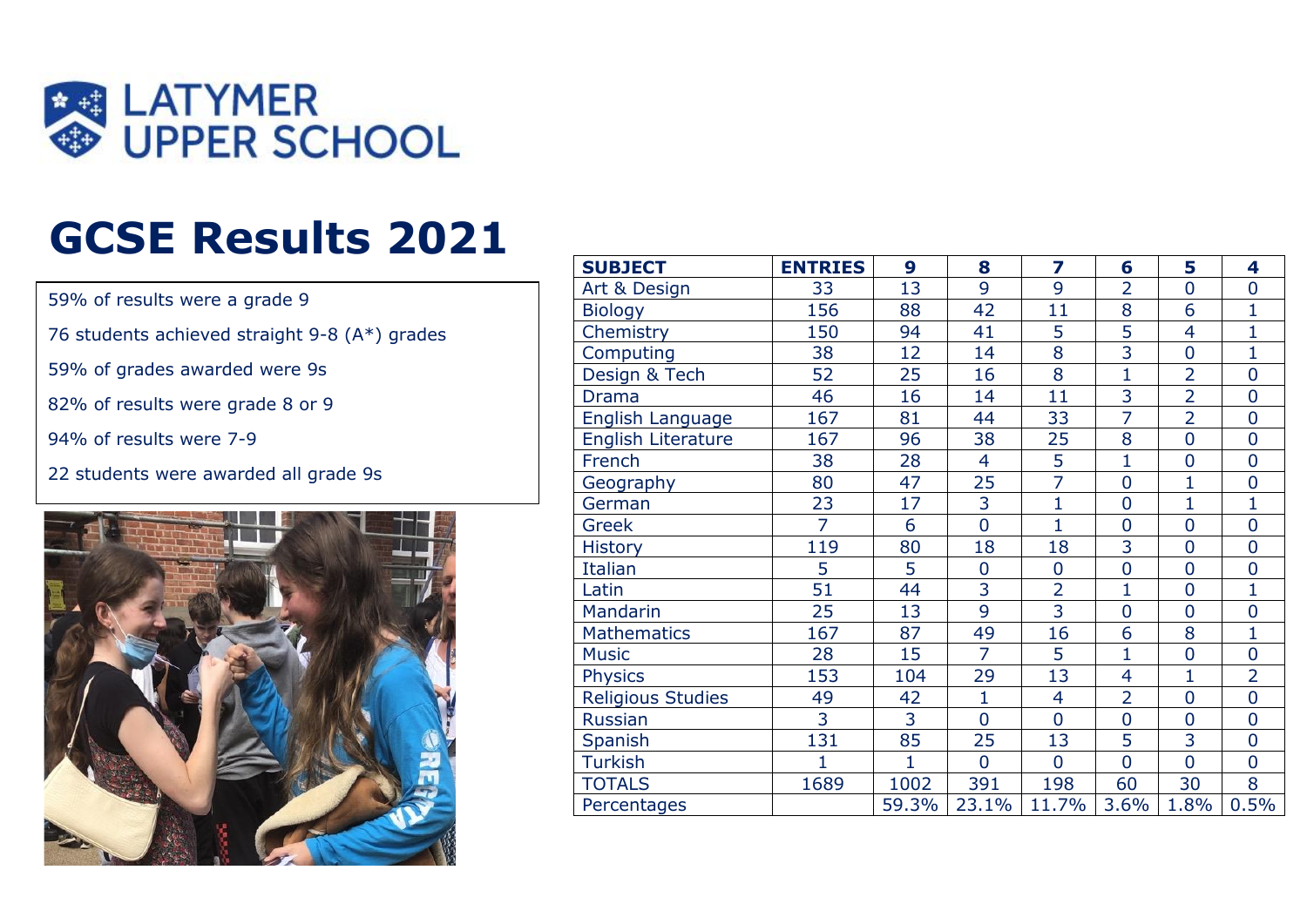

## **GCSE Results 2021**

59% of results were a grade 9

76 students achieved straight 9-8 (A\*) grades

59% of grades awarded were 9s

82% of results were grade 8 or 9

94% of results were 7-9

22 students were awarded all grade 9s



| <b>SUBJECT</b>            | <b>ENTRIES</b> | 9            | 8              | 7              | 6              | 5              | 4              |
|---------------------------|----------------|--------------|----------------|----------------|----------------|----------------|----------------|
| Art & Design              | 33             | 13           | $\overline{9}$ | $\overline{9}$ | $\overline{2}$ | $\overline{0}$ | $\overline{0}$ |
| <b>Biology</b>            | 156            | 88           | 42             | 11             | 8              | 6              | $\mathbf{1}$   |
| Chemistry                 | 150            | 94           | 41             | 5              | $\overline{5}$ | $\overline{4}$ | $\overline{1}$ |
| Computing                 | 38             | 12           | 14             | $\overline{8}$ | $\overline{3}$ | $\overline{0}$ | $\overline{1}$ |
| Design & Tech             | 52             | 25           | 16             | 8              | $\overline{1}$ | $\overline{2}$ | $\overline{0}$ |
| <b>Drama</b>              | 46             | 16           | 14             | 11             | $\overline{3}$ | $\overline{2}$ | $\overline{0}$ |
| English Language          | 167            | 81           | 44             | 33             | $\overline{7}$ | $\overline{2}$ | $\overline{0}$ |
| <b>English Literature</b> | 167            | 96           | 38             | 25             | 8              | $\overline{0}$ | $\overline{0}$ |
| French                    | 38             | 28           | $\overline{4}$ | $\overline{5}$ | $\overline{1}$ | $\overline{0}$ | $\mathbf 0$    |
| Geography                 | 80             | 47           | 25             | 7              | $\overline{0}$ | $\mathbf{1}$   | $\overline{0}$ |
| German                    | 23             | 17           | $\overline{3}$ | $\overline{1}$ | $\overline{0}$ | $\overline{1}$ | $\mathbf 1$    |
| Greek                     | $\overline{7}$ | 6            | $\overline{0}$ | $\overline{1}$ | $\overline{0}$ | $\overline{0}$ | $\overline{0}$ |
| <b>History</b>            | 119            | 80           | 18             | 18             | $\overline{3}$ | $\overline{0}$ | $\overline{0}$ |
| Italian                   | 5              | 5            | $\overline{0}$ | $\mathbf 0$    | $\overline{0}$ | $\overline{0}$ | $\overline{0}$ |
| Latin                     | 51             | 44           | 3              | $\overline{2}$ | $\mathbf{1}$   | $\overline{0}$ | $\mathbf{1}$   |
| Mandarin                  | 25             | 13           | 9              | $\overline{3}$ | $\overline{0}$ | $\overline{0}$ | $\overline{0}$ |
| <b>Mathematics</b>        | 167            | 87           | 49             | 16             | 6              | 8              | $\mathbf 1$    |
| <b>Music</b>              | 28             | 15           | $\overline{7}$ | 5              | $\mathbf{1}$   | $\overline{0}$ | $\overline{0}$ |
| <b>Physics</b>            | 153            | 104          | 29             | 13             | $\overline{4}$ | $\mathbf{1}$   | $\overline{2}$ |
| <b>Religious Studies</b>  | 49             | 42           | $\overline{1}$ | $\overline{4}$ | $\overline{2}$ | $\overline{0}$ | $\overline{0}$ |
| <b>Russian</b>            | 3              | 3            | $\overline{0}$ | $\overline{0}$ | $\overline{0}$ | $\overline{0}$ | $\overline{0}$ |
| Spanish                   | 131            | 85           | 25             | 13             | 5              | 3              | $\overline{0}$ |
| <b>Turkish</b>            | 1              | $\mathbf{1}$ | $\overline{0}$ | $\overline{0}$ | $\overline{0}$ | $\overline{0}$ | $\overline{0}$ |
| <b>TOTALS</b>             | 1689           | 1002         | 391            | 198            | 60             | 30             | 8              |
| Percentages               |                | 59.3%        | 23.1%          | 11.7%          | 3.6%           | 1.8%           | 0.5%           |